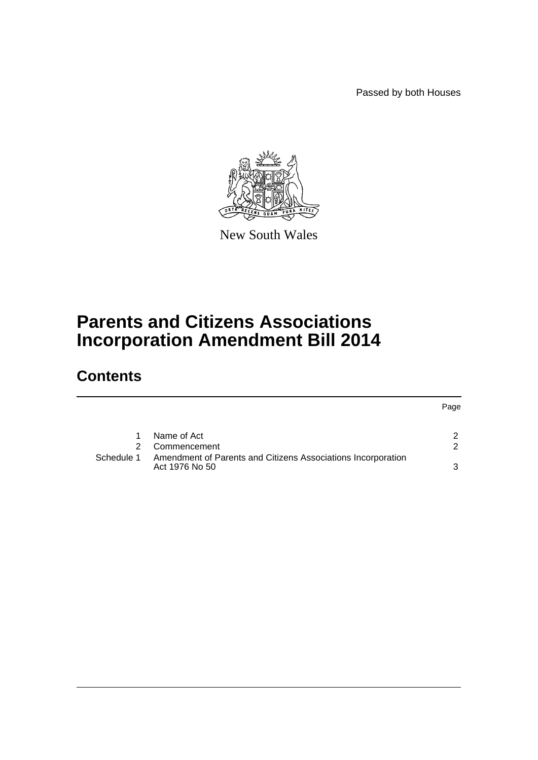Passed by both Houses

Page



New South Wales

# **Parents and Citizens Associations Incorporation Amendment Bill 2014**

# **Contents**

|            | Name of Act                                                                    |  |
|------------|--------------------------------------------------------------------------------|--|
|            | Commencement                                                                   |  |
| Schedule 1 | Amendment of Parents and Citizens Associations Incorporation<br>Act 1976 No 50 |  |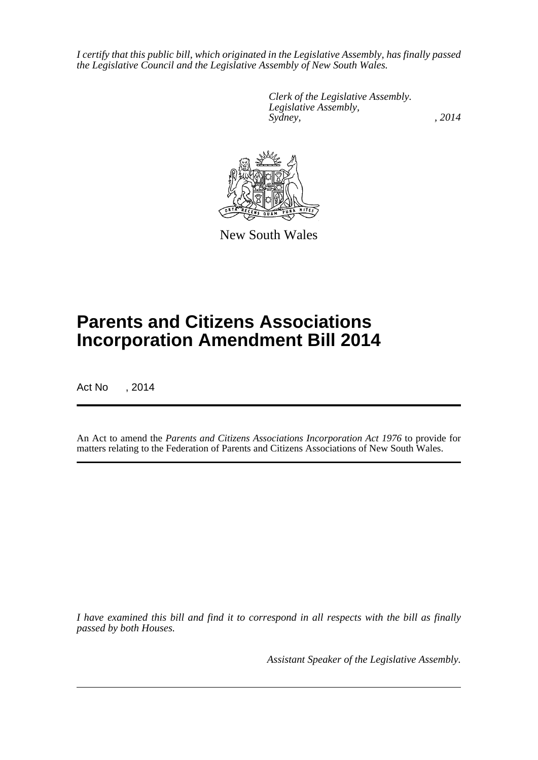*I certify that this public bill, which originated in the Legislative Assembly, has finally passed the Legislative Council and the Legislative Assembly of New South Wales.*

> *Clerk of the Legislative Assembly. Legislative Assembly, Sydney,* , 2014



New South Wales

# **Parents and Citizens Associations Incorporation Amendment Bill 2014**

Act No , 2014

An Act to amend the *Parents and Citizens Associations Incorporation Act 1976* to provide for matters relating to the Federation of Parents and Citizens Associations of New South Wales.

*I have examined this bill and find it to correspond in all respects with the bill as finally passed by both Houses.*

*Assistant Speaker of the Legislative Assembly.*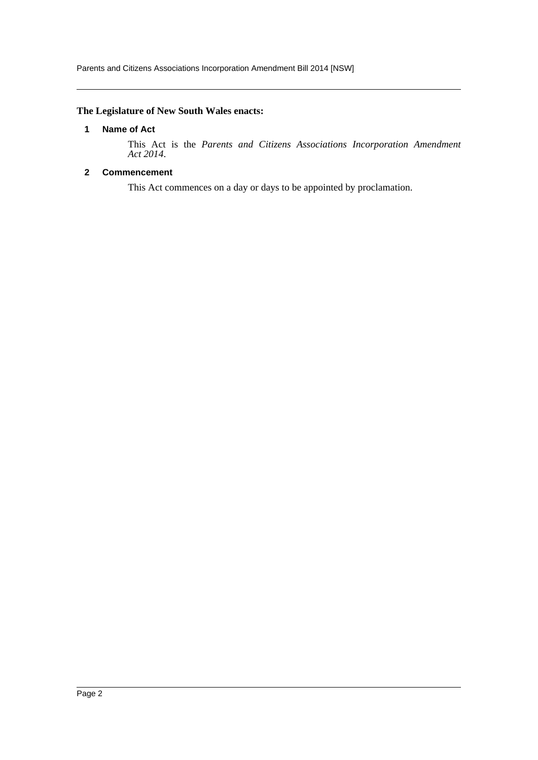# <span id="page-2-0"></span>**The Legislature of New South Wales enacts:**

# **1 Name of Act**

This Act is the *Parents and Citizens Associations Incorporation Amendment Act 2014*.

### <span id="page-2-1"></span>**2 Commencement**

This Act commences on a day or days to be appointed by proclamation.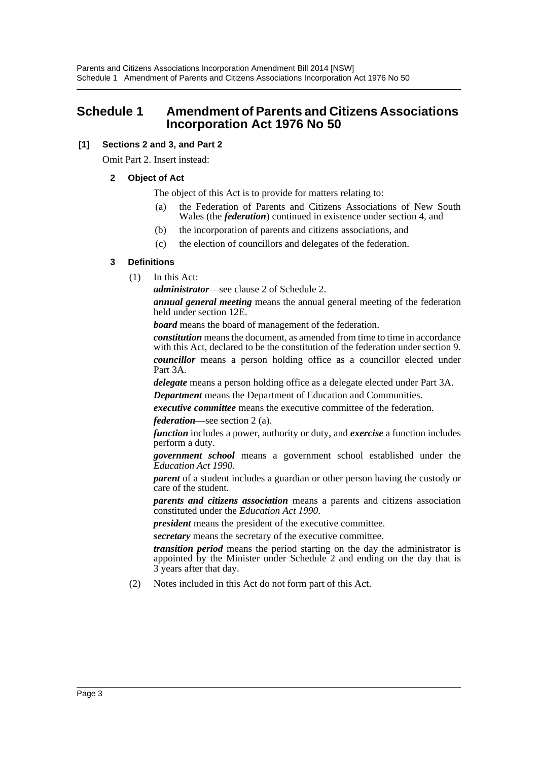# <span id="page-3-0"></span>**Schedule 1 Amendment of Parents and Citizens Associations Incorporation Act 1976 No 50**

# **[1] Sections 2 and 3, and Part 2**

Omit Part 2. Insert instead:

# **2 Object of Act**

The object of this Act is to provide for matters relating to:

- (a) the Federation of Parents and Citizens Associations of New South Wales (the *federation*) continued in existence under section 4, and
- (b) the incorporation of parents and citizens associations, and
- (c) the election of councillors and delegates of the federation.

# **3 Definitions**

(1) In this Act:

*administrator*—see clause 2 of Schedule 2.

*annual general meeting* means the annual general meeting of the federation held under section 12E.

*board* means the board of management of the federation.

*constitution* means the document, as amended from time to time in accordance with this Act, declared to be the constitution of the federation under section 9. *councillor* means a person holding office as a councillor elected under Part 3A.

*delegate* means a person holding office as a delegate elected under Part 3A. *Department* means the Department of Education and Communities.

*executive committee* means the executive committee of the federation.

*federation*—see section 2 (a).

*function* includes a power, authority or duty, and *exercise* a function includes perform a duty.

*government school* means a government school established under the *Education Act 1990*.

*parent* of a student includes a guardian or other person having the custody or care of the student.

*parents and citizens association* means a parents and citizens association constituted under the *Education Act 1990*.

*president* means the president of the executive committee.

*secretary* means the secretary of the executive committee.

*transition period* means the period starting on the day the administrator is appointed by the Minister under Schedule 2 and ending on the day that is 3 years after that day.

(2) Notes included in this Act do not form part of this Act.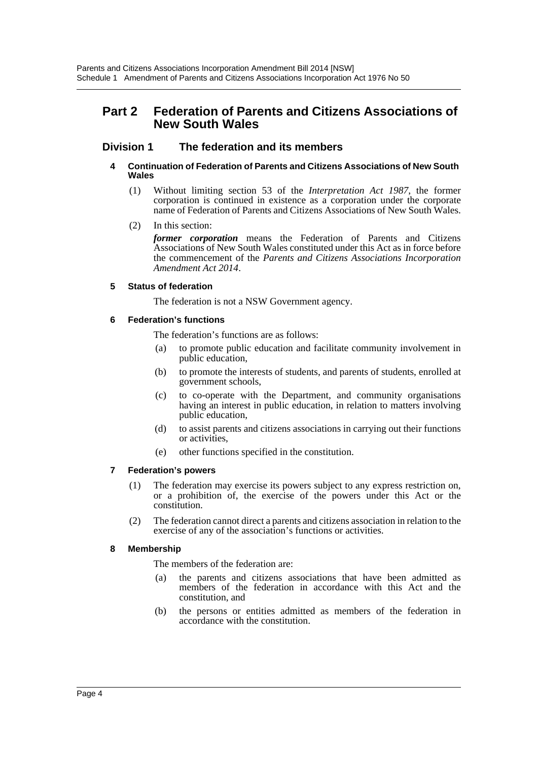# **Part 2 Federation of Parents and Citizens Associations of New South Wales**

# **Division 1 The federation and its members**

#### **4 Continuation of Federation of Parents and Citizens Associations of New South Wales**

- (1) Without limiting section 53 of the *Interpretation Act 1987*, the former corporation is continued in existence as a corporation under the corporate name of Federation of Parents and Citizens Associations of New South Wales.
- (2) In this section:

*former corporation* means the Federation of Parents and Citizens Associations of New South Wales constituted under this Act as in force before the commencement of the *Parents and Citizens Associations Incorporation Amendment Act 2014*.

#### **5 Status of federation**

The federation is not a NSW Government agency.

#### **6 Federation's functions**

The federation's functions are as follows:

- (a) to promote public education and facilitate community involvement in public education,
- (b) to promote the interests of students, and parents of students, enrolled at government schools,
- (c) to co-operate with the Department, and community organisations having an interest in public education, in relation to matters involving public education,
- (d) to assist parents and citizens associations in carrying out their functions or activities,
- (e) other functions specified in the constitution.

# **7 Federation's powers**

- (1) The federation may exercise its powers subject to any express restriction on, or a prohibition of, the exercise of the powers under this Act or the constitution.
- (2) The federation cannot direct a parents and citizens association in relation to the exercise of any of the association's functions or activities.

#### **8 Membership**

The members of the federation are:

- (a) the parents and citizens associations that have been admitted as members of the federation in accordance with this Act and the constitution, and
- (b) the persons or entities admitted as members of the federation in accordance with the constitution.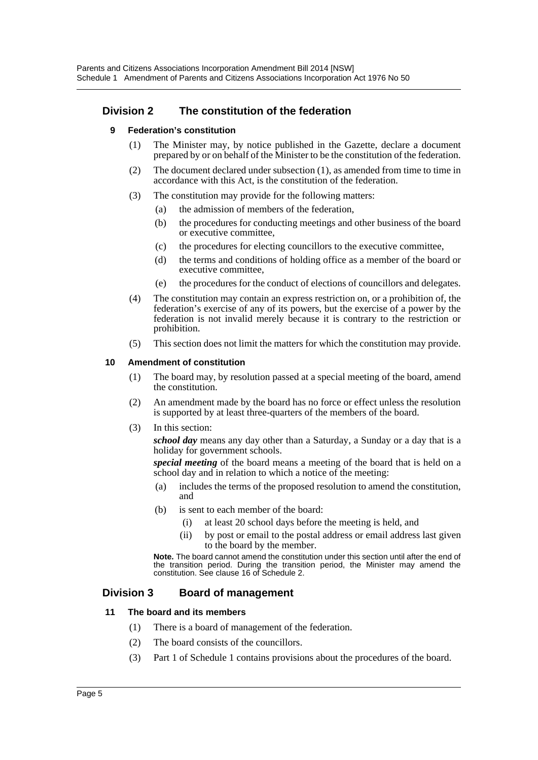# **Division 2 The constitution of the federation**

#### **9 Federation's constitution**

- (1) The Minister may, by notice published in the Gazette, declare a document prepared by or on behalf of the Minister to be the constitution of the federation.
- (2) The document declared under subsection (1), as amended from time to time in accordance with this Act, is the constitution of the federation.
- (3) The constitution may provide for the following matters:
	- (a) the admission of members of the federation,
	- (b) the procedures for conducting meetings and other business of the board or executive committee,
	- (c) the procedures for electing councillors to the executive committee,
	- (d) the terms and conditions of holding office as a member of the board or executive committee,
	- (e) the procedures for the conduct of elections of councillors and delegates.
- (4) The constitution may contain an express restriction on, or a prohibition of, the federation's exercise of any of its powers, but the exercise of a power by the federation is not invalid merely because it is contrary to the restriction or prohibition.
- (5) This section does not limit the matters for which the constitution may provide.

#### **10 Amendment of constitution**

- (1) The board may, by resolution passed at a special meeting of the board, amend the constitution.
- (2) An amendment made by the board has no force or effect unless the resolution is supported by at least three-quarters of the members of the board.
- (3) In this section:

*school day* means any day other than a Saturday, a Sunday or a day that is a holiday for government schools.

*special meeting* of the board means a meeting of the board that is held on a school day and in relation to which a notice of the meeting:

- (a) includes the terms of the proposed resolution to amend the constitution, and
- (b) is sent to each member of the board:
	- (i) at least 20 school days before the meeting is held, and
	- (ii) by post or email to the postal address or email address last given to the board by the member.

**Note.** The board cannot amend the constitution under this section until after the end of the transition period. During the transition period, the Minister may amend the constitution. See clause 16 of Schedule 2.

# **Division 3 Board of management**

#### **11 The board and its members**

- (1) There is a board of management of the federation.
- (2) The board consists of the councillors.
- (3) Part 1 of Schedule 1 contains provisions about the procedures of the board.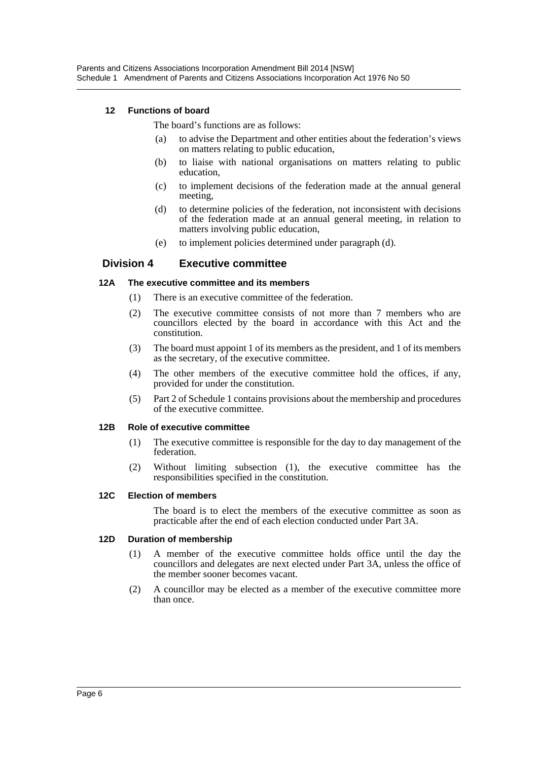### **12 Functions of board**

The board's functions are as follows:

- (a) to advise the Department and other entities about the federation's views on matters relating to public education,
- (b) to liaise with national organisations on matters relating to public education,
- (c) to implement decisions of the federation made at the annual general meeting,
- (d) to determine policies of the federation, not inconsistent with decisions of the federation made at an annual general meeting, in relation to matters involving public education,
- (e) to implement policies determined under paragraph (d).

#### **Division 4 Executive committee**

#### **12A The executive committee and its members**

- (1) There is an executive committee of the federation.
- (2) The executive committee consists of not more than 7 members who are councillors elected by the board in accordance with this Act and the constitution.
- (3) The board must appoint 1 of its members as the president, and 1 of its members as the secretary, of the executive committee.
- (4) The other members of the executive committee hold the offices, if any, provided for under the constitution.
- (5) Part 2 of Schedule 1 contains provisions about the membership and procedures of the executive committee.

#### **12B Role of executive committee**

- (1) The executive committee is responsible for the day to day management of the federation.
- (2) Without limiting subsection (1), the executive committee has the responsibilities specified in the constitution.

#### **12C Election of members**

The board is to elect the members of the executive committee as soon as practicable after the end of each election conducted under Part 3A.

#### **12D Duration of membership**

- (1) A member of the executive committee holds office until the day the councillors and delegates are next elected under Part 3A, unless the office of the member sooner becomes vacant.
- (2) A councillor may be elected as a member of the executive committee more than once.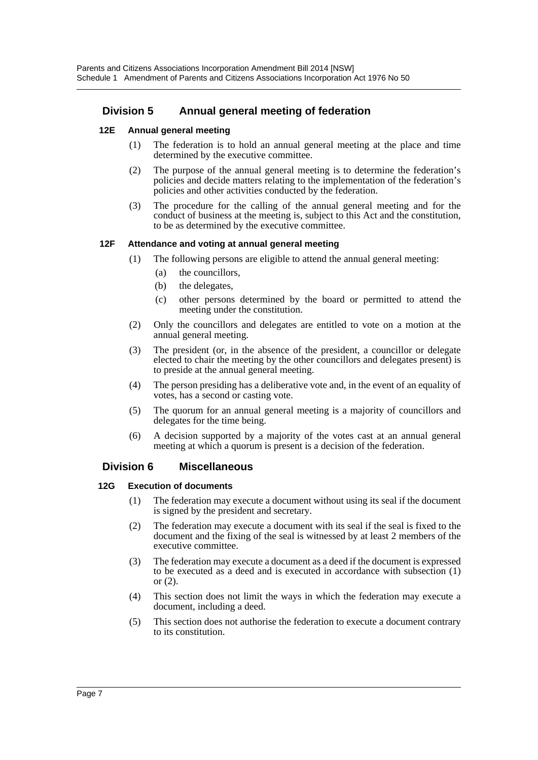# **Division 5 Annual general meeting of federation**

#### **12E Annual general meeting**

- (1) The federation is to hold an annual general meeting at the place and time determined by the executive committee.
- (2) The purpose of the annual general meeting is to determine the federation's policies and decide matters relating to the implementation of the federation's policies and other activities conducted by the federation.
- (3) The procedure for the calling of the annual general meeting and for the conduct of business at the meeting is, subject to this Act and the constitution, to be as determined by the executive committee.

#### **12F Attendance and voting at annual general meeting**

- (1) The following persons are eligible to attend the annual general meeting:
	- (a) the councillors,
	- (b) the delegates,
	- (c) other persons determined by the board or permitted to attend the meeting under the constitution.
- (2) Only the councillors and delegates are entitled to vote on a motion at the annual general meeting.
- (3) The president (or, in the absence of the president, a councillor or delegate elected to chair the meeting by the other councillors and delegates present) is to preside at the annual general meeting.
- (4) The person presiding has a deliberative vote and, in the event of an equality of votes, has a second or casting vote.
- (5) The quorum for an annual general meeting is a majority of councillors and delegates for the time being.
- (6) A decision supported by a majority of the votes cast at an annual general meeting at which a quorum is present is a decision of the federation.

# **Division 6 Miscellaneous**

#### **12G Execution of documents**

- (1) The federation may execute a document without using its seal if the document is signed by the president and secretary.
- (2) The federation may execute a document with its seal if the seal is fixed to the document and the fixing of the seal is witnessed by at least 2 members of the executive committee.
- (3) The federation may execute a document as a deed if the document is expressed to be executed as a deed and is executed in accordance with subsection (1) or (2).
- (4) This section does not limit the ways in which the federation may execute a document, including a deed.
- (5) This section does not authorise the federation to execute a document contrary to its constitution.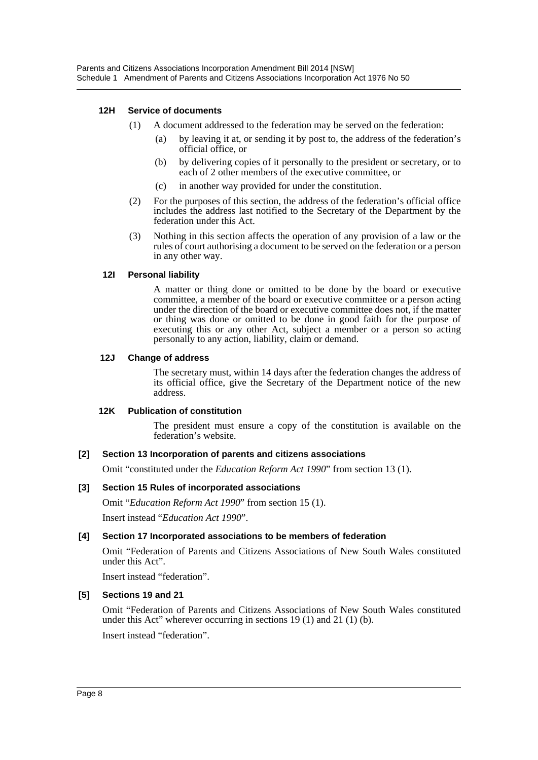#### **12H Service of documents**

- (1) A document addressed to the federation may be served on the federation:
	- (a) by leaving it at, or sending it by post to, the address of the federation's official office, or
	- (b) by delivering copies of it personally to the president or secretary, or to each of 2 other members of the executive committee, or
	- (c) in another way provided for under the constitution.
- (2) For the purposes of this section, the address of the federation's official office includes the address last notified to the Secretary of the Department by the federation under this Act.
- (3) Nothing in this section affects the operation of any provision of a law or the rules of court authorising a document to be served on the federation or a person in any other way.

#### **12I Personal liability**

A matter or thing done or omitted to be done by the board or executive committee, a member of the board or executive committee or a person acting under the direction of the board or executive committee does not, if the matter or thing was done or omitted to be done in good faith for the purpose of executing this or any other Act, subject a member or a person so acting personally to any action, liability, claim or demand.

#### **12J Change of address**

The secretary must, within 14 days after the federation changes the address of its official office, give the Secretary of the Department notice of the new address.

#### **12K Publication of constitution**

The president must ensure a copy of the constitution is available on the federation's website.

# **[2] Section 13 Incorporation of parents and citizens associations**

Omit "constituted under the *Education Reform Act 1990*" from section 13 (1).

# **[3] Section 15 Rules of incorporated associations**

Omit "*Education Reform Act 1990*" from section 15 (1).

Insert instead "*Education Act 1990*".

# **[4] Section 17 Incorporated associations to be members of federation**

Omit "Federation of Parents and Citizens Associations of New South Wales constituted under this Act".

Insert instead "federation".

# **[5] Sections 19 and 21**

Omit "Federation of Parents and Citizens Associations of New South Wales constituted under this Act" wherever occurring in sections 19 (1) and 21 (1) (b).

Insert instead "federation".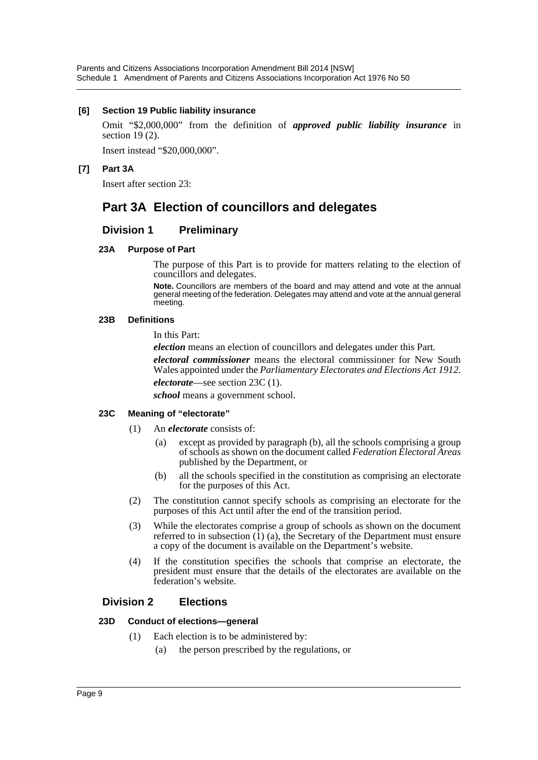#### **[6] Section 19 Public liability insurance**

Omit "\$2,000,000" from the definition of *approved public liability insurance* in section 19 (2).

Insert instead "\$20,000,000".

# **[7] Part 3A**

Insert after section 23:

# **Part 3A Election of councillors and delegates**

# **Division 1 Preliminary**

#### **23A Purpose of Part**

The purpose of this Part is to provide for matters relating to the election of councillors and delegates.

**Note.** Councillors are members of the board and may attend and vote at the annual general meeting of the federation. Delegates may attend and vote at the annual general meeting.

#### **23B Definitions**

In this Part:

*election* means an election of councillors and delegates under this Part.

*electoral commissioner* means the electoral commissioner for New South Wales appointed under the *Parliamentary Electorates and Elections Act 1912*. *electorate*—see section 23C (1).

*school* means a government school.

# **23C Meaning of "electorate"**

- (1) An *electorate* consists of:
	- (a) except as provided by paragraph (b), all the schools comprising a group of schools as shown on the document called *Federation Electoral Areas* published by the Department, or
	- (b) all the schools specified in the constitution as comprising an electorate for the purposes of this Act.
- (2) The constitution cannot specify schools as comprising an electorate for the purposes of this Act until after the end of the transition period.
- (3) While the electorates comprise a group of schools as shown on the document referred to in subsection (1) (a), the Secretary of the Department must ensure a copy of the document is available on the Department's website.
- (4) If the constitution specifies the schools that comprise an electorate, the president must ensure that the details of the electorates are available on the federation's website.

# **Division 2 Elections**

#### **23D Conduct of elections—general**

- (1) Each election is to be administered by:
	- (a) the person prescribed by the regulations, or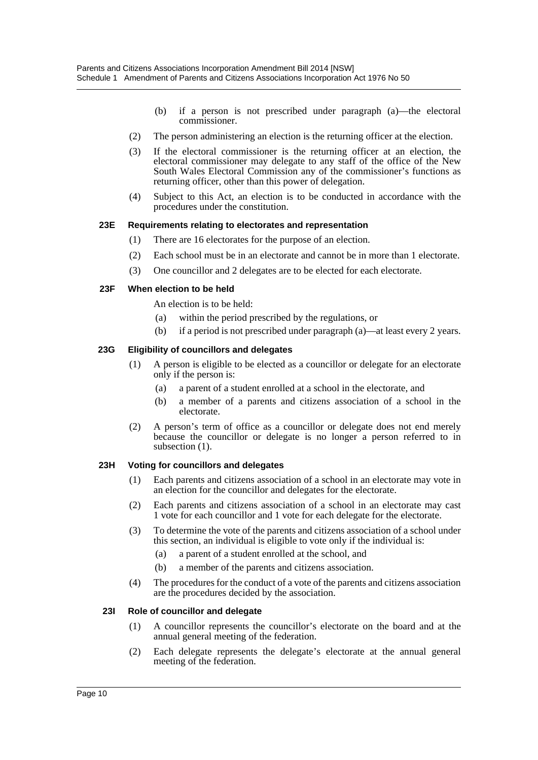- (b) if a person is not prescribed under paragraph (a)—the electoral commissioner.
- (2) The person administering an election is the returning officer at the election.
- (3) If the electoral commissioner is the returning officer at an election, the electoral commissioner may delegate to any staff of the office of the New South Wales Electoral Commission any of the commissioner's functions as returning officer, other than this power of delegation.
- (4) Subject to this Act, an election is to be conducted in accordance with the procedures under the constitution.

#### **23E Requirements relating to electorates and representation**

- (1) There are 16 electorates for the purpose of an election.
- (2) Each school must be in an electorate and cannot be in more than 1 electorate.
- (3) One councillor and 2 delegates are to be elected for each electorate.

#### **23F When election to be held**

An election is to be held:

- (a) within the period prescribed by the regulations, or
- (b) if a period is not prescribed under paragraph (a)—at least every 2 years.

#### **23G Eligibility of councillors and delegates**

- (1) A person is eligible to be elected as a councillor or delegate for an electorate only if the person is:
	- (a) a parent of a student enrolled at a school in the electorate, and
	- (b) a member of a parents and citizens association of a school in the electorate.
- (2) A person's term of office as a councillor or delegate does not end merely because the councillor or delegate is no longer a person referred to in subsection  $(1)$ .

#### **23H Voting for councillors and delegates**

- (1) Each parents and citizens association of a school in an electorate may vote in an election for the councillor and delegates for the electorate.
- (2) Each parents and citizens association of a school in an electorate may cast 1 vote for each councillor and 1 vote for each delegate for the electorate.
- (3) To determine the vote of the parents and citizens association of a school under this section, an individual is eligible to vote only if the individual is:
	- (a) a parent of a student enrolled at the school, and
	- (b) a member of the parents and citizens association.
- (4) The procedures for the conduct of a vote of the parents and citizens association are the procedures decided by the association.

#### **23I Role of councillor and delegate**

- (1) A councillor represents the councillor's electorate on the board and at the annual general meeting of the federation.
- (2) Each delegate represents the delegate's electorate at the annual general meeting of the federation.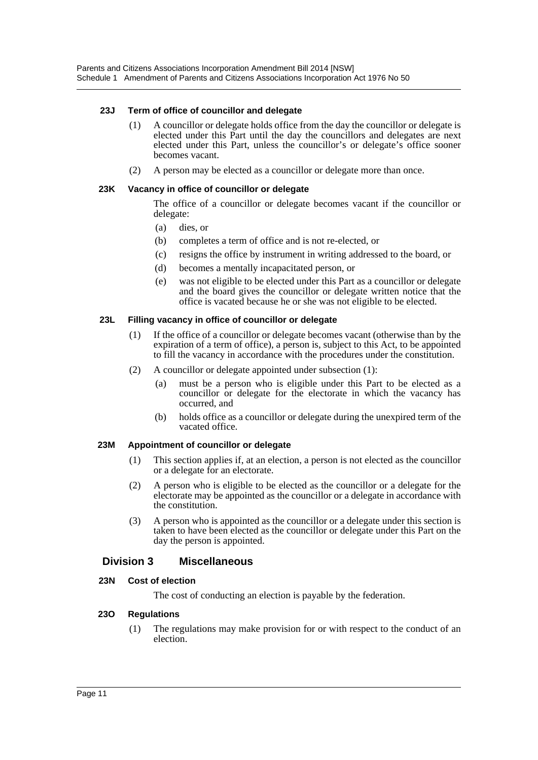#### **23J Term of office of councillor and delegate**

- (1) A councillor or delegate holds office from the day the councillor or delegate is elected under this Part until the day the councillors and delegates are next elected under this Part, unless the councillor's or delegate's office sooner becomes vacant.
- (2) A person may be elected as a councillor or delegate more than once.

#### **23K Vacancy in office of councillor or delegate**

The office of a councillor or delegate becomes vacant if the councillor or delegate:

- (a) dies, or
- (b) completes a term of office and is not re-elected, or
- (c) resigns the office by instrument in writing addressed to the board, or
- (d) becomes a mentally incapacitated person, or
- (e) was not eligible to be elected under this Part as a councillor or delegate and the board gives the councillor or delegate written notice that the office is vacated because he or she was not eligible to be elected.

#### **23L Filling vacancy in office of councillor or delegate**

- (1) If the office of a councillor or delegate becomes vacant (otherwise than by the expiration of a term of office), a person is, subject to this Act, to be appointed to fill the vacancy in accordance with the procedures under the constitution.
- (2) A councillor or delegate appointed under subsection (1):
	- (a) must be a person who is eligible under this Part to be elected as a councillor or delegate for the electorate in which the vacancy has occurred, and
	- (b) holds office as a councillor or delegate during the unexpired term of the vacated office.

#### **23M Appointment of councillor or delegate**

- (1) This section applies if, at an election, a person is not elected as the councillor or a delegate for an electorate.
- (2) A person who is eligible to be elected as the councillor or a delegate for the electorate may be appointed as the councillor or a delegate in accordance with the constitution.
- (3) A person who is appointed as the councillor or a delegate under this section is taken to have been elected as the councillor or delegate under this Part on the day the person is appointed.

# **Division 3 Miscellaneous**

#### **23N Cost of election**

The cost of conducting an election is payable by the federation.

#### **23O Regulations**

(1) The regulations may make provision for or with respect to the conduct of an election.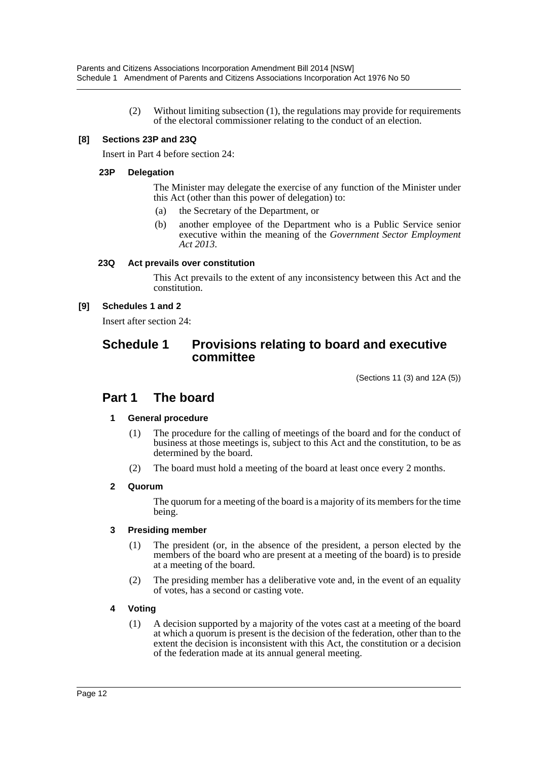(2) Without limiting subsection (1), the regulations may provide for requirements of the electoral commissioner relating to the conduct of an election.

### **[8] Sections 23P and 23Q**

Insert in Part 4 before section 24:

#### **23P Delegation**

The Minister may delegate the exercise of any function of the Minister under this Act (other than this power of delegation) to:

- (a) the Secretary of the Department, or
- (b) another employee of the Department who is a Public Service senior executive within the meaning of the *Government Sector Employment Act 2013*.

#### **23Q Act prevails over constitution**

This Act prevails to the extent of any inconsistency between this Act and the constitution.

#### **[9] Schedules 1 and 2**

Insert after section 24:

# **Schedule 1 Provisions relating to board and executive committee**

(Sections 11 (3) and 12A (5))

# **Part 1 The board**

# **1 General procedure**

- (1) The procedure for the calling of meetings of the board and for the conduct of business at those meetings is, subject to this Act and the constitution, to be as determined by the board.
- (2) The board must hold a meeting of the board at least once every 2 months.

#### **2 Quorum**

The quorum for a meeting of the board is a majority of its members for the time being.

#### **3 Presiding member**

- (1) The president (or, in the absence of the president, a person elected by the members of the board who are present at a meeting of the board) is to preside at a meeting of the board.
- (2) The presiding member has a deliberative vote and, in the event of an equality of votes, has a second or casting vote.

# **4 Voting**

(1) A decision supported by a majority of the votes cast at a meeting of the board at which a quorum is present is the decision of the federation, other than to the extent the decision is inconsistent with this Act, the constitution or a decision of the federation made at its annual general meeting.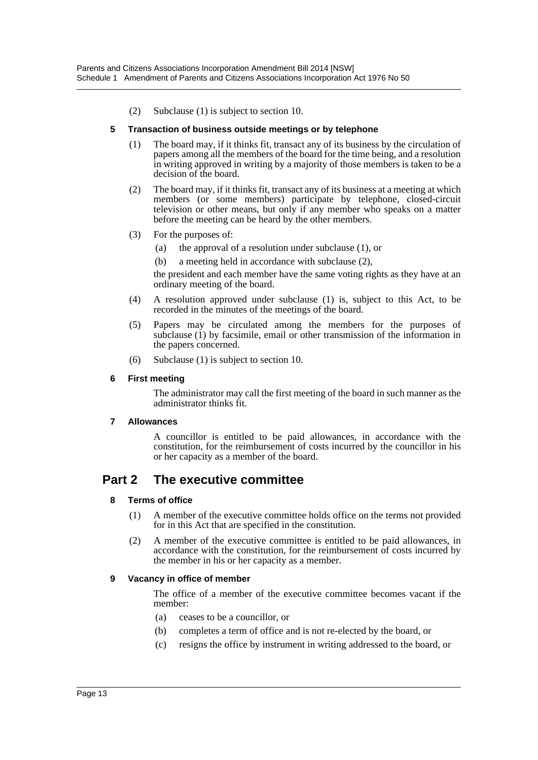(2) Subclause (1) is subject to section 10.

#### **5 Transaction of business outside meetings or by telephone**

- (1) The board may, if it thinks fit, transact any of its business by the circulation of papers among all the members of the board for the time being, and a resolution in writing approved in writing by a majority of those members is taken to be a decision of the board.
- (2) The board may, if it thinks fit, transact any of its business at a meeting at which members (or some members) participate by telephone, closed-circuit television or other means, but only if any member who speaks on a matter before the meeting can be heard by the other members.
- (3) For the purposes of:
	- (a) the approval of a resolution under subclause (1), or
	- (b) a meeting held in accordance with subclause (2),

the president and each member have the same voting rights as they have at an ordinary meeting of the board.

- (4) A resolution approved under subclause (1) is, subject to this Act, to be recorded in the minutes of the meetings of the board.
- (5) Papers may be circulated among the members for the purposes of subclause (1) by facsimile, email or other transmission of the information in the papers concerned.
- (6) Subclause (1) is subject to section 10.

#### **6 First meeting**

The administrator may call the first meeting of the board in such manner as the administrator thinks fit.

#### **7 Allowances**

A councillor is entitled to be paid allowances, in accordance with the constitution, for the reimbursement of costs incurred by the councillor in his or her capacity as a member of the board.

# **Part 2 The executive committee**

#### **8 Terms of office**

- (1) A member of the executive committee holds office on the terms not provided for in this Act that are specified in the constitution.
- (2) A member of the executive committee is entitled to be paid allowances, in accordance with the constitution, for the reimbursement of costs incurred by the member in his or her capacity as a member.

#### **9 Vacancy in office of member**

The office of a member of the executive committee becomes vacant if the member:

- (a) ceases to be a councillor, or
- (b) completes a term of office and is not re-elected by the board, or
- (c) resigns the office by instrument in writing addressed to the board, or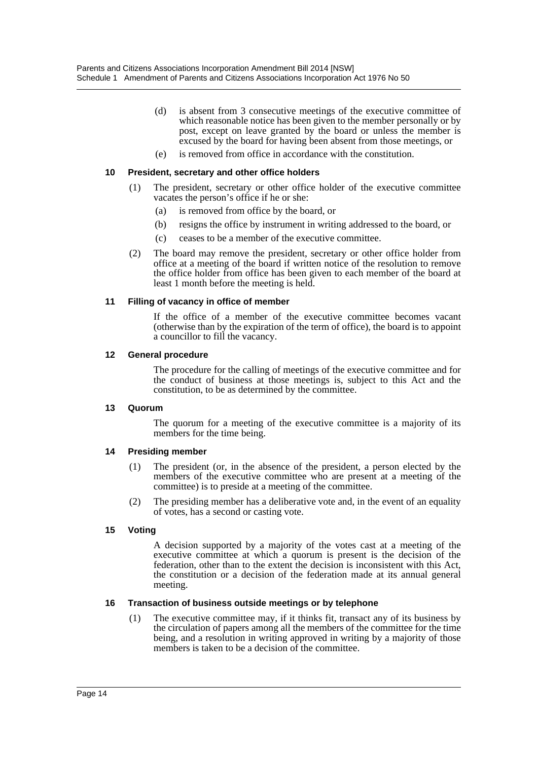- (d) is absent from 3 consecutive meetings of the executive committee of which reasonable notice has been given to the member personally or by post, except on leave granted by the board or unless the member is excused by the board for having been absent from those meetings, or
- (e) is removed from office in accordance with the constitution.

#### **10 President, secretary and other office holders**

- (1) The president, secretary or other office holder of the executive committee vacates the person's office if he or she:
	- (a) is removed from office by the board, or
	- (b) resigns the office by instrument in writing addressed to the board, or
	- (c) ceases to be a member of the executive committee.
- (2) The board may remove the president, secretary or other office holder from office at a meeting of the board if written notice of the resolution to remove the office holder from office has been given to each member of the board at least 1 month before the meeting is held.

#### **11 Filling of vacancy in office of member**

If the office of a member of the executive committee becomes vacant (otherwise than by the expiration of the term of office), the board is to appoint a councillor to fill the vacancy.

#### **12 General procedure**

The procedure for the calling of meetings of the executive committee and for the conduct of business at those meetings is, subject to this Act and the constitution, to be as determined by the committee.

#### **13 Quorum**

The quorum for a meeting of the executive committee is a majority of its members for the time being.

#### **14 Presiding member**

- (1) The president (or, in the absence of the president, a person elected by the members of the executive committee who are present at a meeting of the committee) is to preside at a meeting of the committee.
- (2) The presiding member has a deliberative vote and, in the event of an equality of votes, has a second or casting vote.

#### **15 Voting**

A decision supported by a majority of the votes cast at a meeting of the executive committee at which a quorum is present is the decision of the federation, other than to the extent the decision is inconsistent with this Act, the constitution or a decision of the federation made at its annual general meeting.

#### **16 Transaction of business outside meetings or by telephone**

(1) The executive committee may, if it thinks fit, transact any of its business by the circulation of papers among all the members of the committee for the time being, and a resolution in writing approved in writing by a majority of those members is taken to be a decision of the committee.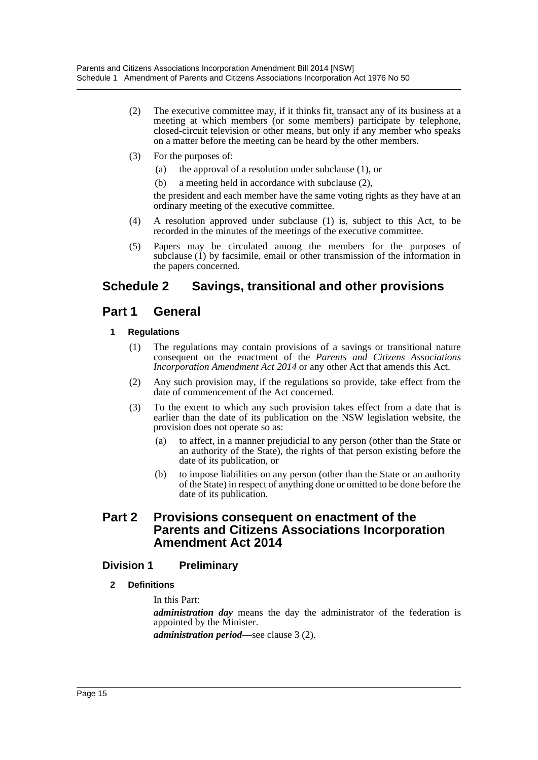- (2) The executive committee may, if it thinks fit, transact any of its business at a meeting at which members (or some members) participate by telephone, closed-circuit television or other means, but only if any member who speaks on a matter before the meeting can be heard by the other members.
- (3) For the purposes of:
	- (a) the approval of a resolution under subclause (1), or
	- (b) a meeting held in accordance with subclause (2),

the president and each member have the same voting rights as they have at an ordinary meeting of the executive committee.

- (4) A resolution approved under subclause (1) is, subject to this Act, to be recorded in the minutes of the meetings of the executive committee.
- (5) Papers may be circulated among the members for the purposes of subclause (1) by facsimile, email or other transmission of the information in the papers concerned.

# **Schedule 2 Savings, transitional and other provisions**

# **Part 1 General**

# **1 Regulations**

- (1) The regulations may contain provisions of a savings or transitional nature consequent on the enactment of the *Parents and Citizens Associations Incorporation Amendment Act 2014* or any other Act that amends this Act.
- (2) Any such provision may, if the regulations so provide, take effect from the date of commencement of the Act concerned.
- (3) To the extent to which any such provision takes effect from a date that is earlier than the date of its publication on the NSW legislation website, the provision does not operate so as:
	- (a) to affect, in a manner prejudicial to any person (other than the State or an authority of the State), the rights of that person existing before the date of its publication, or
	- (b) to impose liabilities on any person (other than the State or an authority of the State) in respect of anything done or omitted to be done before the date of its publication.

# **Part 2 Provisions consequent on enactment of the Parents and Citizens Associations Incorporation Amendment Act 2014**

# **Division 1 Preliminary**

# **2 Definitions**

In this Part:

*administration day* means the day the administrator of the federation is appointed by the Minister.

*administration period*—see clause 3 (2).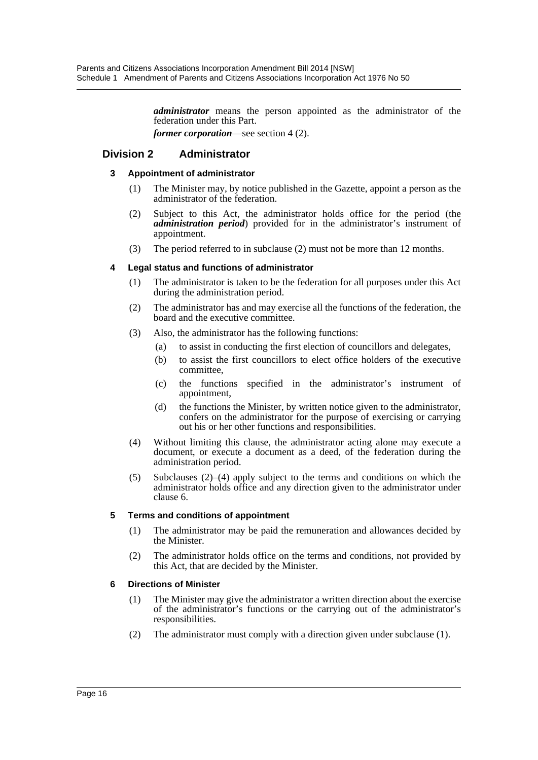*administrator* means the person appointed as the administrator of the federation under this Part.

*former corporation*—see section 4 (2).

# **Division 2 Administrator**

#### **3 Appointment of administrator**

- (1) The Minister may, by notice published in the Gazette, appoint a person as the administrator of the federation.
- (2) Subject to this Act, the administrator holds office for the period (the *administration period*) provided for in the administrator's instrument of appointment.
- (3) The period referred to in subclause (2) must not be more than 12 months.

#### **4 Legal status and functions of administrator**

- (1) The administrator is taken to be the federation for all purposes under this Act during the administration period.
- (2) The administrator has and may exercise all the functions of the federation, the board and the executive committee.
- (3) Also, the administrator has the following functions:
	- (a) to assist in conducting the first election of councillors and delegates,
	- (b) to assist the first councillors to elect office holders of the executive committee,
	- (c) the functions specified in the administrator's instrument of appointment,
	- (d) the functions the Minister, by written notice given to the administrator, confers on the administrator for the purpose of exercising or carrying out his or her other functions and responsibilities.
- (4) Without limiting this clause, the administrator acting alone may execute a document, or execute a document as a deed, of the federation during the administration period.
- (5) Subclauses (2)–(4) apply subject to the terms and conditions on which the administrator holds office and any direction given to the administrator under clause 6.

#### **5 Terms and conditions of appointment**

- (1) The administrator may be paid the remuneration and allowances decided by the Minister.
- (2) The administrator holds office on the terms and conditions, not provided by this Act, that are decided by the Minister.

# **6 Directions of Minister**

- (1) The Minister may give the administrator a written direction about the exercise of the administrator's functions or the carrying out of the administrator's responsibilities.
- (2) The administrator must comply with a direction given under subclause (1).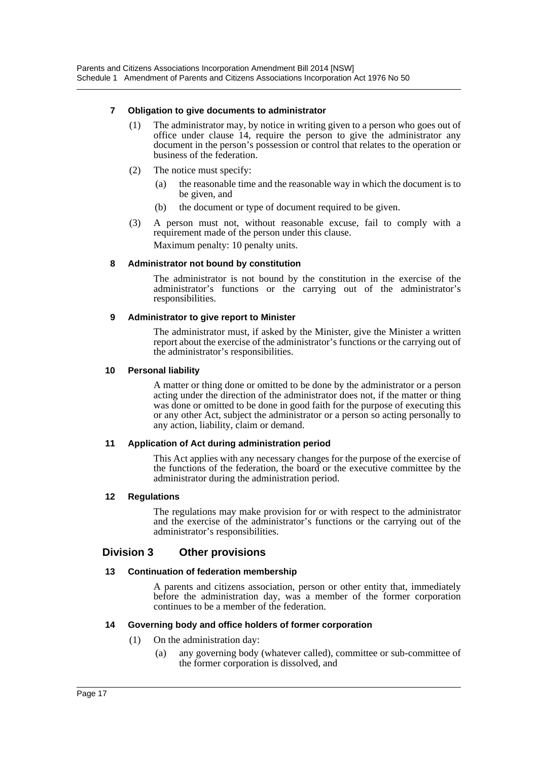#### **7 Obligation to give documents to administrator**

- (1) The administrator may, by notice in writing given to a person who goes out of office under clause 14, require the person to give the administrator any document in the person's possession or control that relates to the operation or business of the federation.
- (2) The notice must specify:
	- (a) the reasonable time and the reasonable way in which the document is to be given, and
	- (b) the document or type of document required to be given.
- (3) A person must not, without reasonable excuse, fail to comply with a requirement made of the person under this clause. Maximum penalty: 10 penalty units.

#### **8 Administrator not bound by constitution**

The administrator is not bound by the constitution in the exercise of the administrator's functions or the carrying out of the administrator's responsibilities.

#### **9 Administrator to give report to Minister**

The administrator must, if asked by the Minister, give the Minister a written report about the exercise of the administrator's functions or the carrying out of the administrator's responsibilities.

#### **10 Personal liability**

A matter or thing done or omitted to be done by the administrator or a person acting under the direction of the administrator does not, if the matter or thing was done or omitted to be done in good faith for the purpose of executing this or any other Act, subject the administrator or a person so acting personally to any action, liability, claim or demand.

#### **11 Application of Act during administration period**

This Act applies with any necessary changes for the purpose of the exercise of the functions of the federation, the board or the executive committee by the administrator during the administration period.

#### **12 Regulations**

The regulations may make provision for or with respect to the administrator and the exercise of the administrator's functions or the carrying out of the administrator's responsibilities.

# **Division 3 Other provisions**

#### **13 Continuation of federation membership**

A parents and citizens association, person or other entity that, immediately before the administration day, was a member of the former corporation continues to be a member of the federation.

#### **14 Governing body and office holders of former corporation**

- (1) On the administration day:
	- (a) any governing body (whatever called), committee or sub-committee of the former corporation is dissolved, and